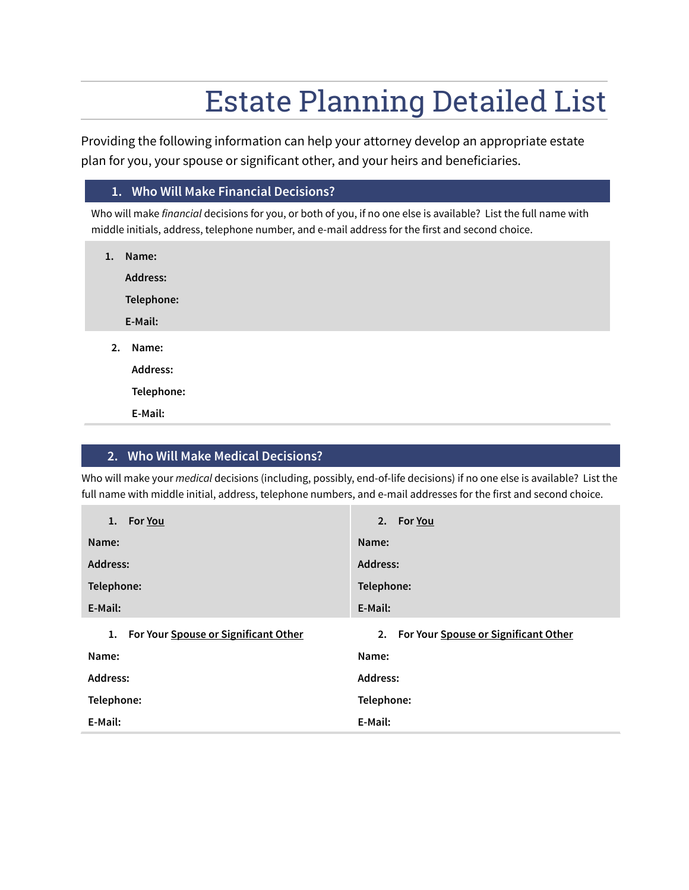Providing the following information can help your attorney develop an appropriate estate plan for you, your spouse or significant other, and your heirs and beneficiaries.

#### **1. Who Will Make Financial Decisions?**

Who will make *financial* decisions for you, or both of you, if no one else is available? List the full name with middle initials, address, telephone number, and e-mail address for the first and second choice.

| 1. | Name:           |
|----|-----------------|
|    | <b>Address:</b> |
|    | Telephone:      |
|    | E-Mail:         |
| 2. | Name:           |
|    | Address:        |
|    | Telephone:      |
|    | E-Mail:         |

### **2. Who Will Make Medical Decisions?**

Who will make your *medical* decisions (including, possibly, end-of-life decisions) if no one else is available? List the full name with middle initial, address, telephone numbers, and e-mail addresses for the first and second choice.

| <b>For You</b><br>1.                       | 2. For You                              |  |
|--------------------------------------------|-----------------------------------------|--|
| Name:                                      | Name:                                   |  |
| Address:                                   | <b>Address:</b>                         |  |
| Telephone:                                 | Telephone:                              |  |
| E-Mail:                                    | E-Mail:                                 |  |
| For Your Spouse or Significant Other<br>1. | 2. For Your Spouse or Significant Other |  |
| Name:                                      | Name:                                   |  |
| <b>Address:</b>                            | <b>Address:</b>                         |  |
| Telephone:                                 | Telephone:                              |  |
| E-Mail:                                    | E-Mail:                                 |  |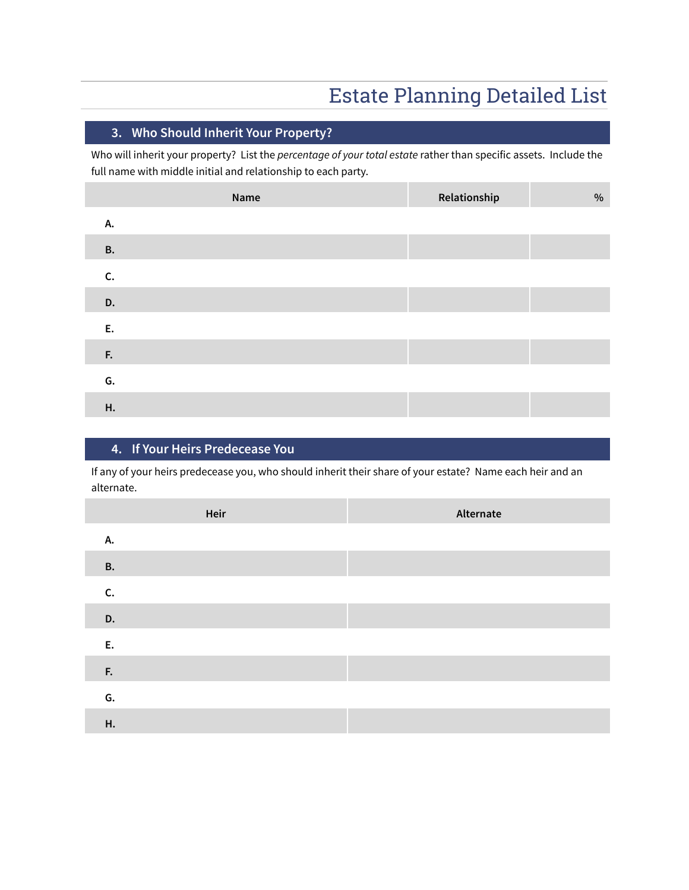### **3. Who Should Inherit Your Property?**

Who will inherit your property? List the *percentage of your total estate* rather than specific assets. Include the full name with middle initial and relationship to each party.

|           | Name | Relationship | $\%$ |
|-----------|------|--------------|------|
| А.        |      |              |      |
| <b>B.</b> |      |              |      |
| C.        |      |              |      |
| D.        |      |              |      |
| Ε.        |      |              |      |
| F.        |      |              |      |
| G.        |      |              |      |
| Н.        |      |              |      |

### **4. If Your Heirs Predecease You**

If any of your heirs predecease you, who should inherit their share of your estate? Name each heir and an alternate.

|           | Heir | Alternate |
|-----------|------|-----------|
| А.        |      |           |
| <b>B.</b> |      |           |
| C.        |      |           |
| D.        |      |           |
| E.        |      |           |
| F.        |      |           |
| G.        |      |           |
| Н.        |      |           |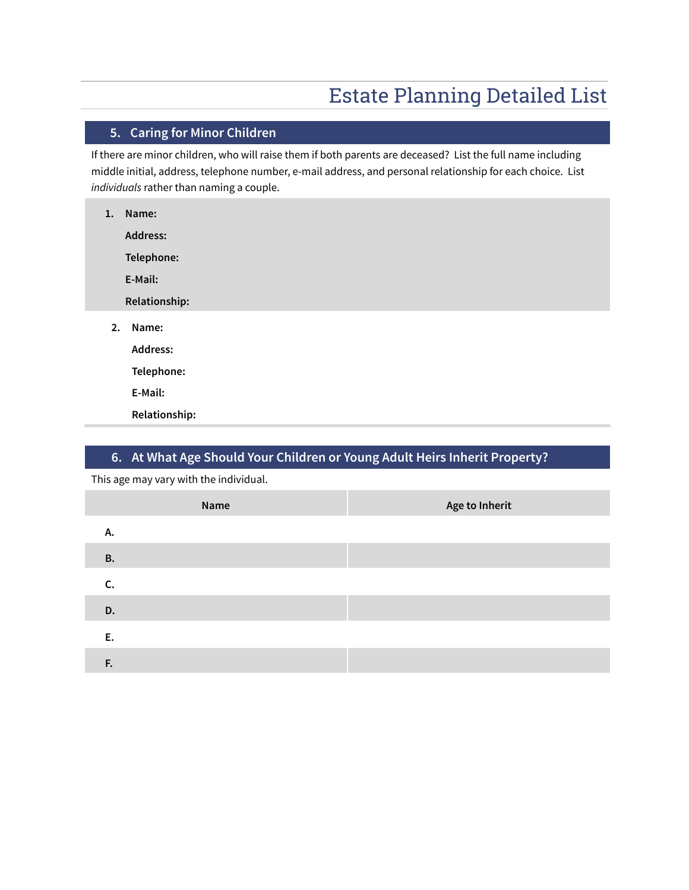## **5. Caring for Minor Children**

If there are minor children, who will raise them if both parents are deceased? List the full name including middle initial, address, telephone number, e-mail address, and personal relationship for each choice. List *individuals* rather than naming a couple.

| 1. | Name:           |
|----|-----------------|
|    | <b>Address:</b> |
|    | Telephone:      |
|    | E-Mail:         |
|    | Relationship:   |
| 2. | Name:           |
|    | Address:        |
|    | Telephone:      |
|    | E-Mail:         |
|    | Relationship:   |

### **6. At What Age Should Your Children or Young Adult Heirs Inherit Property?**

This age may vary with the individual.

| Name      |  | Age to Inherit |
|-----------|--|----------------|
| А.        |  |                |
| <b>B.</b> |  |                |
| C.        |  |                |
| D.        |  |                |
| E.        |  |                |
| F.        |  |                |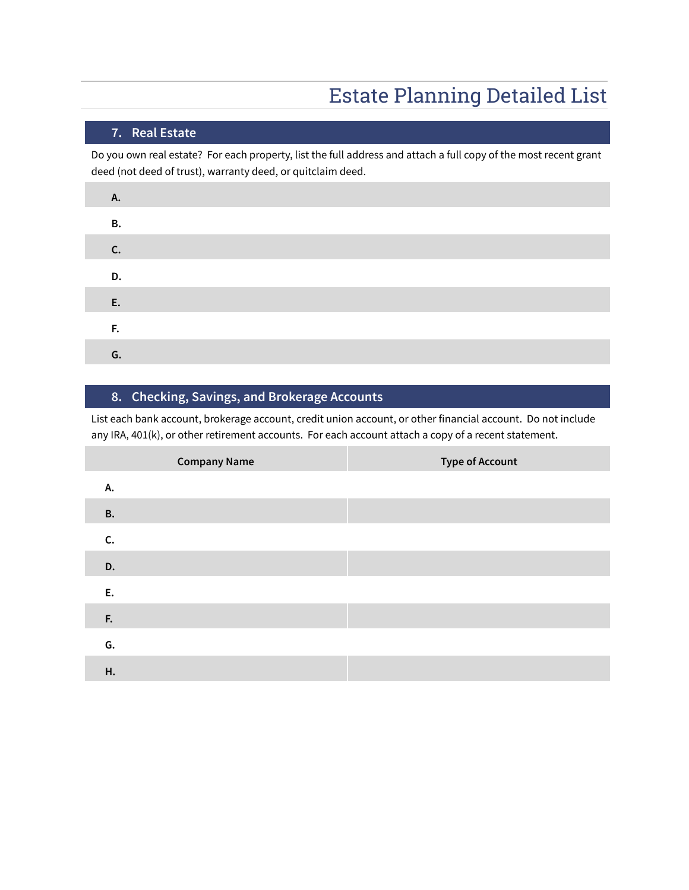### **7. Real Estate**

Do you own real estate? For each property, list the full address and attach a full copy of the most recent grant deed (not deed of trust), warranty deed, or quitclaim deed.

| Α. |    |  |
|----|----|--|
|    | В. |  |
| C. |    |  |
|    | D. |  |
| E. |    |  |
| F. |    |  |
|    | G. |  |

### **8. Checking, Savings, and Brokerage Accounts**

List each bank account, brokerage account, credit union account, or other financial account. Do not include any IRA, 401(k), or other retirement accounts. For each account attach a copy of a recent statement.

| <b>Company Name</b> | <b>Type of Account</b> |
|---------------------|------------------------|
| А.                  |                        |
| <b>B.</b>           |                        |
| C.                  |                        |
| D.                  |                        |
| E.                  |                        |
| F.                  |                        |
| G.                  |                        |
| Н.                  |                        |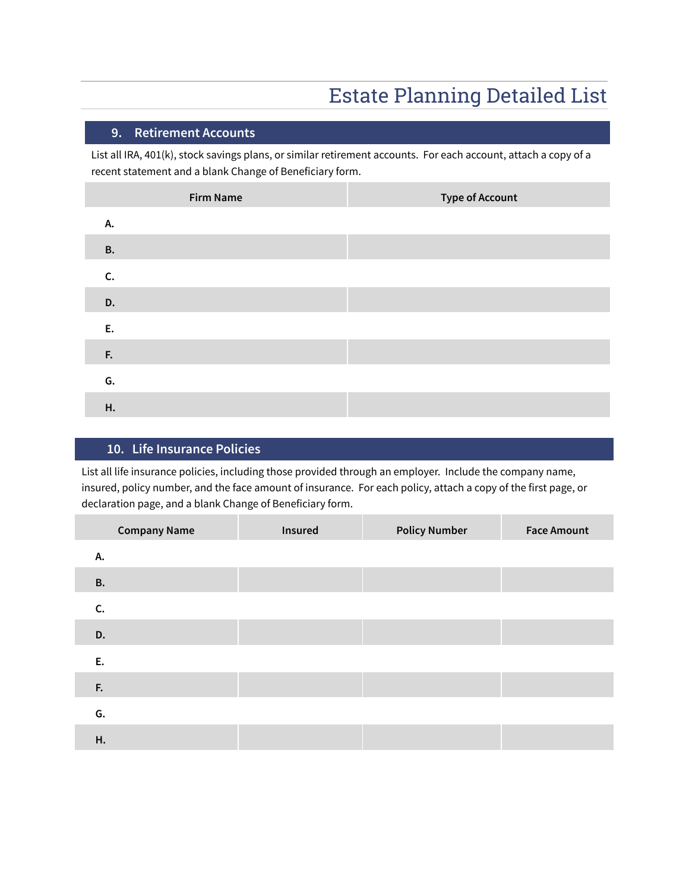### **9. Retirement Accounts**

List all IRA, 401(k), stock savings plans, or similar retirement accounts. For each account, attach a copy of a recent statement and a blank Change of Beneficiary form.

| <b>Firm Name</b> | <b>Type of Account</b> |
|------------------|------------------------|
| А.               |                        |
| <b>B.</b>        |                        |
| C.               |                        |
| D.               |                        |
| E.               |                        |
| F.               |                        |
| G.               |                        |
| Н.               |                        |

#### **10. Life Insurance Policies**

List all life insurance policies, including those provided through an employer. Include the company name, insured, policy number, and the face amount of insurance. For each policy, attach a copy of the first page, or declaration page, and a blank Change of Beneficiary form.

| <b>Company Name</b> | Insured | <b>Policy Number</b> | <b>Face Amount</b> |
|---------------------|---------|----------------------|--------------------|
| А.                  |         |                      |                    |
| <b>B.</b>           |         |                      |                    |
| C.                  |         |                      |                    |
| D.                  |         |                      |                    |
| E.                  |         |                      |                    |
| F.                  |         |                      |                    |
| G.                  |         |                      |                    |
| Η.                  |         |                      |                    |